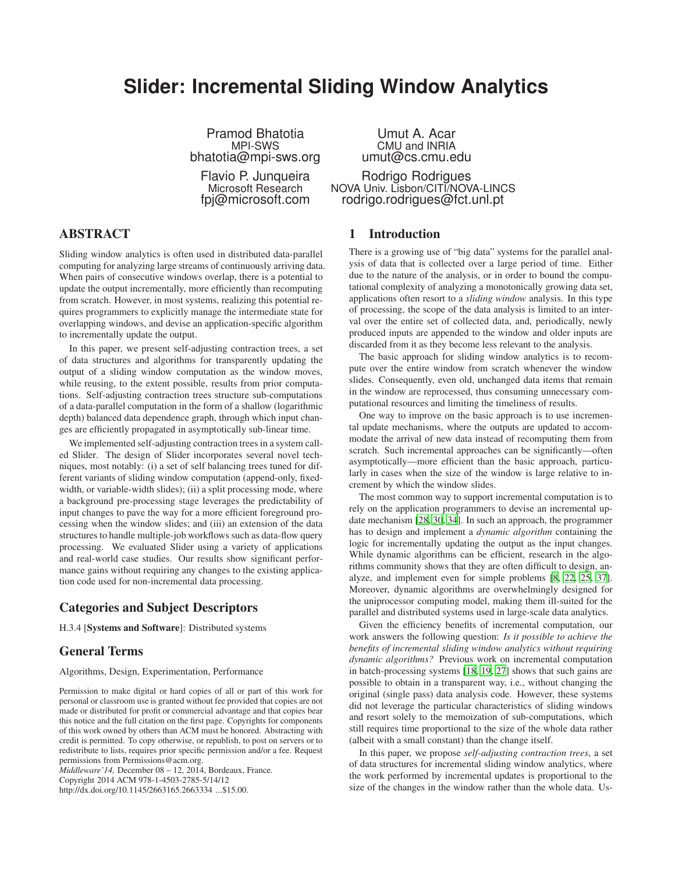# **Slider: Incremental Sliding Window Analytics**

Pramod Bhatotia MPI-SWS bhatotia@mpi-sws.org

Flavio P. Junqueira Microsoft Research fpj@microsoft.com

Umut A. Acar CMU and INRIA umut@cs.cmu.edu

Rodrigo Rodrigues NOVA Univ. Lisbon/CITI/NOVA-LINCS rodrigo.rodrigues@fct.unl.pt

## **ABSTRACT**

Sliding window analytics is often used in distributed data-parallel computing for analyzing large streams of continuously arriving data. When pairs of consecutive windows overlap, there is a potential to update the output incrementally, more efficiently than recomputing from scratch. However, in most systems, realizing this potential requires programmers to explicitly manage the intermediate state for overlapping windows, and devise an application-specific algorithm to incrementally update the output.

In this paper, we present self-adjusting contraction trees, a set of data structures and algorithms for transparently updating the output of a sliding window computation as the window moves, while reusing, to the extent possible, results from prior computations. Self-adjusting contraction trees structure sub-computations of a data-parallel computation in the form of a shallow (logarithmic depth) balanced data dependence graph, through which input changes are efficiently propagated in asymptotically sub-linear time.

We implemented self-adjusting contraction trees in a system called Slider. The design of Slider incorporates several novel techniques, most notably: (i) a set of self balancing trees tuned for different variants of sliding window computation (append-only, fixedwidth, or variable-width slides); (ii) a split processing mode, where a background pre-processing stage leverages the predictability of input changes to pave the way for a more efficient foreground processing when the window slides; and (iii) an extension of the data structures to handle multiple-job workflows such as data-flow query processing. We evaluated Slider using a variety of applications and real-world case studies. Our results show significant performance gains without requiring any changes to the existing application code used for non-incremental data processing.

## **Categories and Subject Descriptors**

H.3.4 [**Systems and Software**]: Distributed systems

#### **General Terms**

Algorithms, Design, Experimentation, Performance

Permission to make digital or hard copies of all or part of this work for personal or classroom use is granted without fee provided that copies are not made or distributed for profit or commercial advantage and that copies bear this notice and the full citation on the first page. Copyrights for components of this work owned by others than ACM must be honored. Abstracting with credit is permitted. To copy otherwise, or republish, to post on servers or to redistribute to lists, requires prior specific permission and/or a fee. Request permissions from Permissions@acm.org.

*Middleware'14,* December 08 – 12, 2014, Bordeaux, France. Copyright 2014 ACM 978-1-4503-2785-5/14/12

http://dx.doi.org/10.1145/2663165.2663334 ...\$15.00.

#### **1 Introduction**

There is a growing use of "big data" systems for the parallel analysis of data that is collected over a large period of time. Either due to the nature of the analysis, or in order to bound the computational complexity of analyzing a monotonically growing data set, applications often resort to a *sliding window* analysis. In this type of processing, the scope of the data analysis is limited to an interval over the entire set of collected data, and, periodically, newly produced inputs are appended to the window and older inputs are discarded from it as they become less relevant to the analysis.

The basic approach for sliding window analytics is to recompute over the entire window from scratch whenever the window slides. Consequently, even old, unchanged data items that remain in the window are reprocessed, thus consuming unnecessary computational resources and limiting the timeliness of results.

One way to improve on the basic approach is to use incremental update mechanisms, where the outputs are updated to accommodate the arrival of new data instead of recomputing them from scratch. Such incremental approaches can be significantly—often asymptotically—more efficient than the basic approach, particularly in cases when the size of the window is large relative to increment by which the window slides.

The most common way to support incremental computation is to rely on the application programmers to devise an incremental update mechanism [\[28,](#page-11-0) [30,](#page-11-1) [34](#page-11-2)]. In such an approach, the programmer has to design and implement a *dynamic algorithm* containing the logic for incrementally updating the output as the input changes. While dynamic algorithms can be efficient, research in the algorithms community shows that they are often difficult to design, analyze, and implement even for simple problems [\[8](#page-11-3), [22](#page-11-4), [25,](#page-11-5) [37\]](#page-11-6). Moreover, dynamic algorithms are overwhelmingly designed for the uniprocessor computing model, making them ill-suited for the parallel and distributed systems used in large-scale data analytics.

Given the efficiency benefits of incremental computation, our work answers the following question: *Is it possible to achieve the benefits of incremental sliding window analytics without requiring dynamic algorithms?* Previous work on incremental computation in batch-processing systems [\[18](#page-11-7), [19](#page-11-8), [27](#page-11-9)] shows that such gains are possible to obtain in a transparent way, i.e., without changing the original (single pass) data analysis code. However, these systems did not leverage the particular characteristics of sliding windows and resort solely to the memoization of sub-computations, which still requires time proportional to the size of the whole data rather (albeit with a small constant) than the change itself.

In this paper, we propose *self-adjusting contraction trees*, a set of data structures for incremental sliding window analytics, where the work performed by incremental updates is proportional to the size of the changes in the window rather than the whole data. Us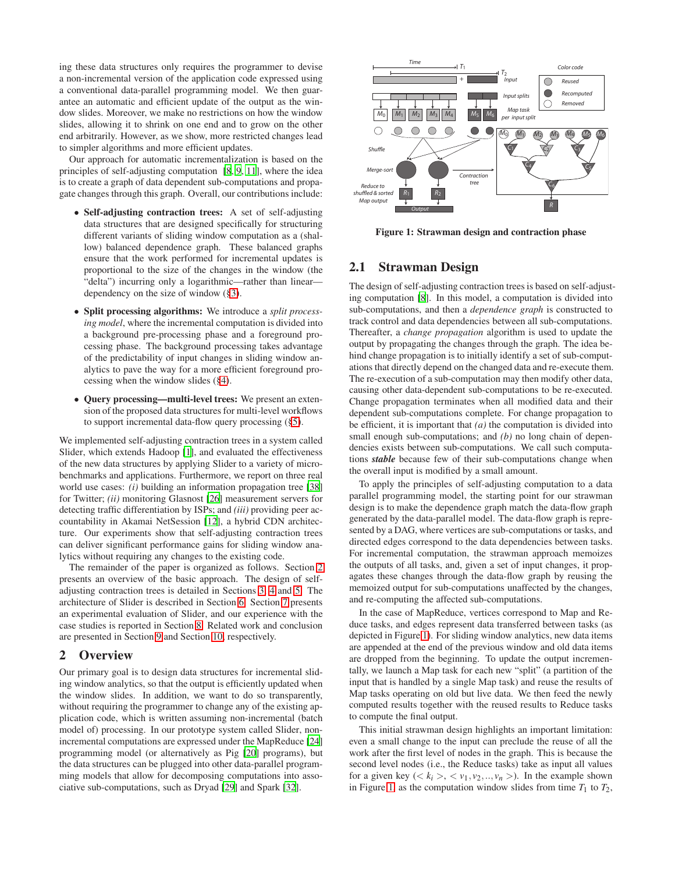ing these data structures only requires the programmer to devise a non-incremental version of the application code expressed using a conventional data-parallel programming model. We then guarantee an automatic and efficient update of the output as the window slides. Moreover, we make no restrictions on how the window slides, allowing it to shrink on one end and to grow on the other end arbitrarily. However, as we show, more restricted changes lead to simpler algorithms and more efficient updates.

Our approach for automatic incrementalization is based on the principles of self-adjusting computation [\[8,](#page-11-3) [9](#page-11-10), [11](#page-11-11)], where the idea is to create a graph of data dependent sub-computations and propagate changes through this graph. Overall, our contributions include:

- **Self-adjusting contraction trees:** A set of self-adjusting data structures that are designed specifically for structuring different variants of sliding window computation as a (shallow) balanced dependence graph. These balanced graphs ensure that the work performed for incremental updates is proportional to the size of the changes in the window (the "delta") incurring only a logarithmic—rather than linear dependency on the size of window ([§3\)](#page-2-0).
- **Split processing algorithms:** We introduce a *split processing model*, where the incremental computation is divided into a background pre-processing phase and a foreground processing phase. The background processing takes advantage of the predictability of input changes in sliding window analytics to pave the way for a more efficient foreground processing when the window slides ([§4\)](#page-3-0).
- **Query processing—multi-level trees:** We present an extension of the proposed data structures for multi-level workflows to support incremental data-flow query processing ([§5\)](#page-5-0).

We implemented self-adjusting contraction trees in a system called Slider, which extends Hadoop [\[1](#page-11-12)], and evaluated the effectiveness of the new data structures by applying Slider to a variety of microbenchmarks and applications. Furthermore, we report on three real world use cases: *(i)* building an information propagation tree [\[38\]](#page-11-13) for Twitter; *(ii)* monitoring Glasnost [\[26\]](#page-11-14) measurement servers for detecting traffic differentiation by ISPs; and *(iii)* providing peer accountability in Akamai NetSession [\[12](#page-11-15)], a hybrid CDN architecture. Our experiments show that self-adjusting contraction trees can deliver significant performance gains for sliding window analytics without requiring any changes to the existing code.

The remainder of the paper is organized as follows. Section [2](#page-1-0) presents an overview of the basic approach. The design of selfadjusting contraction trees is detailed in Sections [3,](#page-2-0) [4](#page-3-0) and [5.](#page-5-0) The architecture of Slider is described in Section [6.](#page-5-1) Section [7](#page-5-2) presents an experimental evaluation of Slider, and our experience with the case studies is reported in Section [8.](#page-9-0) Related work and conclusion are presented in Section [9](#page-10-0) and Section [10,](#page-11-16) respectively.

#### <span id="page-1-0"></span>**2 Overview**

Our primary goal is to design data structures for incremental sliding window analytics, so that the output is efficiently updated when the window slides. In addition, we want to do so transparently, without requiring the programmer to change any of the existing application code, which is written assuming non-incremental (batch model of) processing. In our prototype system called Slider, nonincremental computations are expressed under the MapReduce [\[24\]](#page-11-17) programming model (or alternatively as Pig [\[20](#page-11-18)] programs), but the data structures can be plugged into other data-parallel programming models that allow for decomposing computations into associative sub-computations, such as Dryad [\[29\]](#page-11-19) and Spark [\[32](#page-11-20)].



<span id="page-1-1"></span>**Figure 1: Strawman design and contraction phase**

## **2.1 Strawman Design**

The design of self-adjusting contraction trees is based on self-adjusting computation [\[8](#page-11-3)]. In this model, a computation is divided into sub-computations, and then a *dependence graph* is constructed to track control and data dependencies between all sub-computations. Thereafter, a *change propagation* algorithm is used to update the output by propagating the changes through the graph. The idea behind change propagation is to initially identify a set of sub-computations that directly depend on the changed data and re-execute them. The re-execution of a sub-computation may then modify other data, causing other data-dependent sub-computations to be re-executed. Change propagation terminates when all modified data and their dependent sub-computations complete. For change propagation to be efficient, it is important that  $(a)$  the computation is divided into small enough sub-computations; and *(b)* no long chain of dependencies exists between sub-computations. We call such computations *stable* because few of their sub-computations change when the overall input is modified by a small amount.

To apply the principles of self-adjusting computation to a data parallel programming model, the starting point for our strawman design is to make the dependence graph match the data-flow graph generated by the data-parallel model. The data-flow graph is represented by a DAG, where vertices are sub-computations or tasks, and directed edges correspond to the data dependencies between tasks. For incremental computation, the strawman approach memoizes the outputs of all tasks, and, given a set of input changes, it propagates these changes through the data-flow graph by reusing the memoized output for sub-computations unaffected by the changes, and re-computing the affected sub-computations.

In the case of MapReduce, vertices correspond to Map and Reduce tasks, and edges represent data transferred between tasks (as depicted in Figure [1\)](#page-1-1). For sliding window analytics, new data items are appended at the end of the previous window and old data items are dropped from the beginning. To update the output incrementally, we launch a Map task for each new "split" (a partition of the input that is handled by a single Map task) and reuse the results of Map tasks operating on old but live data. We then feed the newly computed results together with the reused results to Reduce tasks to compute the final output.

This initial strawman design highlights an important limitation: even a small change to the input can preclude the reuse of all the work after the first level of nodes in the graph. This is because the second level nodes (i.e., the Reduce tasks) take as input all values for a given key  $( $k_i >, \langle v_1, v_2, \ldots, v_n >$ ). In the example shown$ in Figure [1,](#page-1-1) as the computation window slides from time  $T_1$  to  $T_2$ ,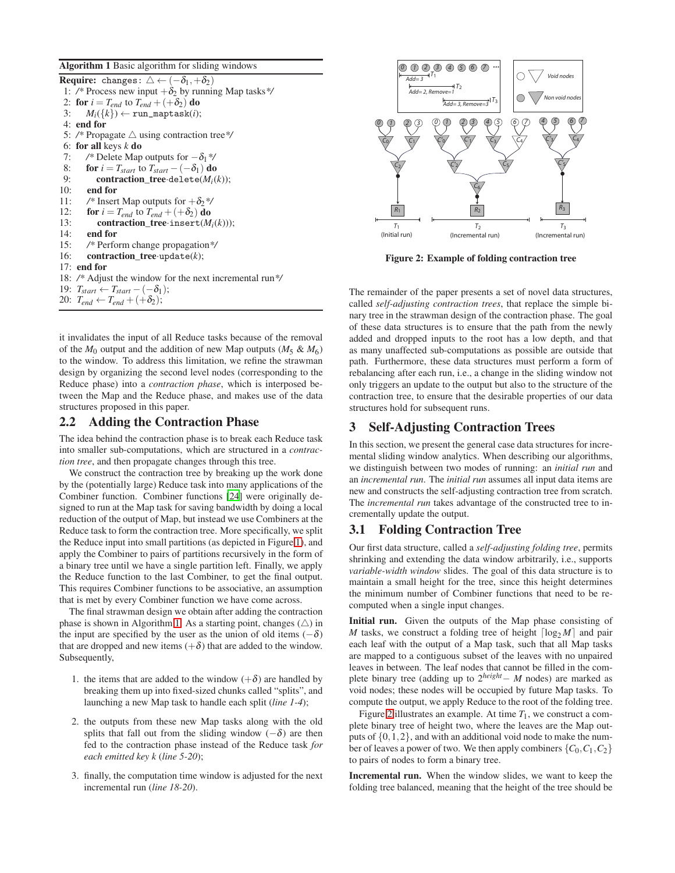<span id="page-2-1"></span>**Algorithm 1** Basic algorithm for sliding windows

**Require:** changes:  $\triangle \leftarrow (-\delta_1, +\delta_2)$ 1: /\* Process new input  $+\delta_2$  by running Map tasks \*/ 2: **for**  $i = T_{end}$  to  $T_{end} + (+\delta_2)$  **do**<br>3:  $M_i({k}) \leftarrow$  run maptask(*i*):  $M_i({k}) \leftarrow \text{run\_maptask}(i);$ 4: **end for** 5: */\** Propagate △ using contraction tree*\*/* 6: **for all** keys *k* **do** 7: /\* Delete Map outputs for  $-\delta_1$ <sup>\*</sup>/<br>8: **for**  $i = T_{start}$  to  $T_{start} - (-\delta_1)$  **do** 8: **for**  $i = T_{start}$  to  $T_{start} - (-\delta_1)$  **do**<br>9: **contraction tree** delete(*M<sub>i</sub>*( 9: **contraction\_tree**·delete( $M_i(k)$ );<br>10: **end for** end for 11: */\** Insert Map outputs for  $+\delta_2$ *\*/*<br>12: **for**  $i = T_{end}$  to  $T_{end} + (+\delta_2)$  **do** 12: **for**  $i = T_{end}$  to  $T_{end} + (+\delta_2)$  **do**<br>13: **contraction\_tree**·insert(*M* 13: **contraction\_tree**·insert $(M_i(k))$ ;<br>14: **end for** end for 15: */\** Perform change propagation*\*/* 16: **contraction\_tree**·update(*k*); 17: **end for** 18: */\** Adjust the window for the next incremental run*\*/* 19:  $T_{start} \leftarrow T_{start} - (-\delta_1);$ 20:  $T_{end} \leftarrow T_{end} + (+\delta_2);$ 

it invalidates the input of all Reduce tasks because of the removal of the  $M_0$  output and the addition of new Map outputs  $(M_5 \& M_6)$ to the window. To address this limitation, we refine the strawman design by organizing the second level nodes (corresponding to the Reduce phase) into a *contraction phase*, which is interposed between the Map and the Reduce phase, and makes use of the data structures proposed in this paper.

## **2.2 Adding the Contraction Phase**

The idea behind the contraction phase is to break each Reduce task into smaller sub-computations, which are structured in a *contraction tree*, and then propagate changes through this tree.

We construct the contraction tree by breaking up the work done by the (potentially large) Reduce task into many applications of the Combiner function. Combiner functions [\[24](#page-11-17)] were originally designed to run at the Map task for saving bandwidth by doing a local reduction of the output of Map, but instead we use Combiners at the Reduce task to form the contraction tree. More specifically, we split the Reduce input into small partitions (as depicted in Figure [1\)](#page-1-1), and apply the Combiner to pairs of partitions recursively in the form of a binary tree until we have a single partition left. Finally, we apply the Reduce function to the last Combiner, to get the final output. This requires Combiner functions to be associative, an assumption that is met by every Combiner function we have come across.

The final strawman design we obtain after adding the contraction phase is shown in Algorithm [1.](#page-2-1) As a starting point, changes  $(\triangle)$  in the input are specified by the user as the union of old items  $(-\delta)$ that are dropped and new items  $(+\delta)$  that are added to the window. Subsequently,

- 1. the items that are added to the window  $(+\delta)$  are handled by breaking them up into fixed-sized chunks called "splits", and launching a new Map task to handle each split (*line 1-4*);
- 2. the outputs from these new Map tasks along with the old splits that fall out from the sliding window  $(-\delta)$  are then fed to the contraction phase instead of the Reduce task *for each emitted key k* (*line 5-20*);
- 3. finally, the computation time window is adjusted for the next incremental run (*line 18-20*).



<span id="page-2-2"></span>**Figure 2: Example of folding contraction tree**

The remainder of the paper presents a set of novel data structures, called *self-adjusting contraction trees*, that replace the simple binary tree in the strawman design of the contraction phase. The goal of these data structures is to ensure that the path from the newly added and dropped inputs to the root has a low depth, and that as many unaffected sub-computations as possible are outside that path. Furthermore, these data structures must perform a form of rebalancing after each run, i.e., a change in the sliding window not only triggers an update to the output but also to the structure of the contraction tree, to ensure that the desirable properties of our data structures hold for subsequent runs.

## <span id="page-2-0"></span>**3 Self-Adjusting Contraction Trees**

In this section, we present the general case data structures for incremental sliding window analytics. When describing our algorithms, we distinguish between two modes of running: an *initial run* and an *incremental run*. The *initial run* assumes all input data items are new and constructs the self-adjusting contraction tree from scratch. The *incremental run* takes advantage of the constructed tree to incrementally update the output.

## **3.1 Folding Contraction Tree**

Our first data structure, called a *self-adjusting folding tree*, permits shrinking and extending the data window arbitrarily, i.e., supports *variable-width window* slides. The goal of this data structure is to maintain a small height for the tree, since this height determines the minimum number of Combiner functions that need to be recomputed when a single input changes.

**Initial run.** Given the outputs of the Map phase consisting of *M* tasks, we construct a folding tree of height  $\lceil \log_2 M \rceil$  and pair each leaf with the output of a Map task, such that all Map tasks are mapped to a contiguous subset of the leaves with no unpaired leaves in between. The leaf nodes that cannot be filled in the complete binary tree (adding up to 2*height*− *M* nodes) are marked as void nodes; these nodes will be occupied by future Map tasks. To compute the output, we apply Reduce to the root of the folding tree.

Figure [2](#page-2-2) illustrates an example. At time  $T_1$ , we construct a complete binary tree of height two, where the leaves are the Map outputs of {0,1,2}, and with an additional void node to make the number of leaves a power of two. We then apply combiners  $\{C_0, C_1, C_2\}$ to pairs of nodes to form a binary tree.

**Incremental run.** When the window slides, we want to keep the folding tree balanced, meaning that the height of the tree should be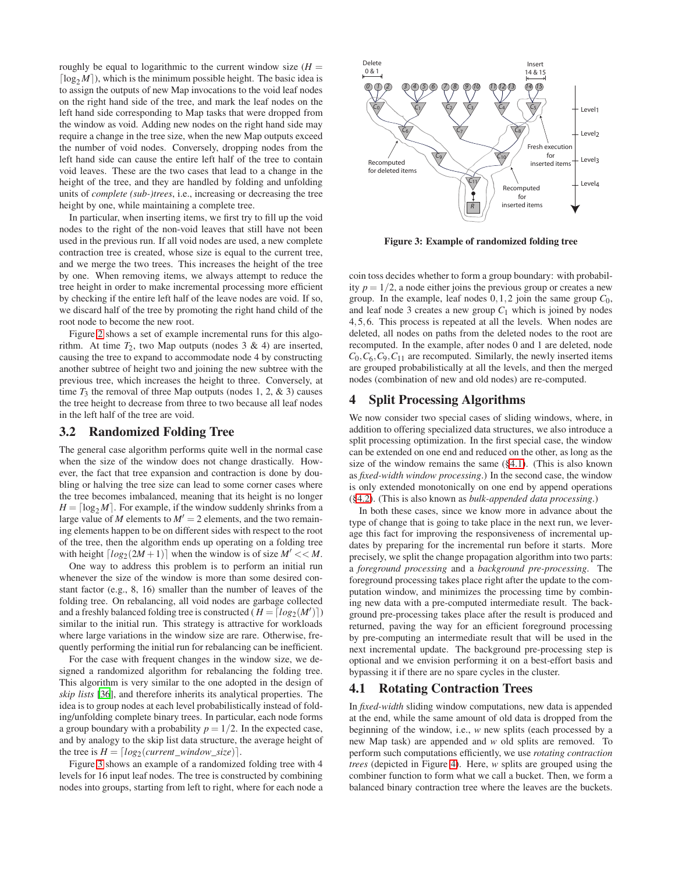roughly be equal to logarithmic to the current window size  $(H =$  $[\log_2 M]$ ), which is the minimum possible height. The basic idea is to assign the outputs of new Map invocations to the void leaf nodes on the right hand side of the tree, and mark the leaf nodes on the left hand side corresponding to Map tasks that were dropped from the window as void. Adding new nodes on the right hand side may require a change in the tree size, when the new Map outputs exceed the number of void nodes. Conversely, dropping nodes from the left hand side can cause the entire left half of the tree to contain void leaves. These are the two cases that lead to a change in the height of the tree, and they are handled by folding and unfolding units of *complete (sub-)trees*, i.e., increasing or decreasing the tree height by one, while maintaining a complete tree.

In particular, when inserting items, we first try to fill up the void nodes to the right of the non-void leaves that still have not been used in the previous run. If all void nodes are used, a new complete contraction tree is created, whose size is equal to the current tree, and we merge the two trees. This increases the height of the tree by one. When removing items, we always attempt to reduce the tree height in order to make incremental processing more efficient by checking if the entire left half of the leave nodes are void. If so, we discard half of the tree by promoting the right hand child of the root node to become the new root.

Figure [2](#page-2-2) shows a set of example incremental runs for this algorithm. At time  $T_2$ , two Map outputs (nodes 3 & 4) are inserted, causing the tree to expand to accommodate node 4 by constructing another subtree of height two and joining the new subtree with the previous tree, which increases the height to three. Conversely, at time  $T_3$  the removal of three Map outputs (nodes 1, 2,  $\&$  3) causes the tree height to decrease from three to two because all leaf nodes in the left half of the tree are void.

#### **3.2 Randomized Folding Tree**

The general case algorithm performs quite well in the normal case when the size of the window does not change drastically. However, the fact that tree expansion and contraction is done by doubling or halving the tree size can lead to some corner cases where the tree becomes imbalanced, meaning that its height is no longer  $H = \lceil \log_2 M \rceil$ . For example, if the window suddenly shrinks from a large value of *M* elements to  $M' = 2$  elements, and the two remaining elements happen to be on different sides with respect to the root of the tree, then the algorithm ends up operating on a folding tree with height  $\lceil log_2(2M + 1) \rceil$  when the window is of size  $M' \ll M$ .

One way to address this problem is to perform an initial run whenever the size of the window is more than some desired constant factor (e.g., 8, 16) smaller than the number of leaves of the folding tree. On rebalancing, all void nodes are garbage collected and a freshly balanced folding tree is constructed ( $H = \lceil log_2(M') \rceil$ ) similar to the initial run. This strategy is attractive for workloads where large variations in the window size are rare. Otherwise, frequently performing the initial run for rebalancing can be inefficient.

For the case with frequent changes in the window size, we designed a randomized algorithm for rebalancing the folding tree. This algorithm is very similar to the one adopted in the design of *skip lists* [\[36\]](#page-11-21), and therefore inherits its analytical properties. The idea is to group nodes at each level probabilistically instead of folding/unfolding complete binary trees. In particular, each node forms a group boundary with a probability  $p = 1/2$ . In the expected case, and by analogy to the skip list data structure, the average height of the tree is  $H = \lfloor log_2(current\_window\_size) \rfloor$ .

Figure [3](#page-3-1) shows an example of a randomized folding tree with 4 levels for 16 input leaf nodes. The tree is constructed by combining nodes into groups, starting from left to right, where for each node a



<span id="page-3-1"></span>**Figure 3: Example of randomized folding tree**

coin toss decides whether to form a group boundary: with probability  $p = 1/2$ , a node either joins the previous group or creates a new group. In the example, leaf nodes  $0, 1, 2$  join the same group  $C_0$ , and leaf node 3 creates a new group  $C_1$  which is joined by nodes 4,5,6. This process is repeated at all the levels. When nodes are deleted, all nodes on paths from the deleted nodes to the root are recomputed. In the example, after nodes 0 and 1 are deleted, node  $C_0$ ,  $C_6$ ,  $C_9$ ,  $C_{11}$  are recomputed. Similarly, the newly inserted items are grouped probabilistically at all the levels, and then the merged nodes (combination of new and old nodes) are re-computed.

#### <span id="page-3-0"></span>**4 Split Processing Algorithms**

We now consider two special cases of sliding windows, where, in addition to offering specialized data structures, we also introduce a split processing optimization. In the first special case, the window can be extended on one end and reduced on the other, as long as the size of the window remains the same ([§4.1\)](#page-3-2). (This is also known as *fixed-width window processing*.) In the second case, the window is only extended monotonically on one end by append operations ([§4.2\)](#page-4-0). (This is also known as *bulk-appended data processing*.)

In both these cases, since we know more in advance about the type of change that is going to take place in the next run, we leverage this fact for improving the responsiveness of incremental updates by preparing for the incremental run before it starts. More precisely, we split the change propagation algorithm into two parts: a *foreground processing* and a *background pre-processing*. The foreground processing takes place right after the update to the computation window, and minimizes the processing time by combining new data with a pre-computed intermediate result. The background pre-processing takes place after the result is produced and returned, paving the way for an efficient foreground processing by pre-computing an intermediate result that will be used in the next incremental update. The background pre-processing step is optional and we envision performing it on a best-effort basis and bypassing it if there are no spare cycles in the cluster.

#### <span id="page-3-2"></span>**4.1 Rotating Contraction Trees**

In *fixed-width* sliding window computations, new data is appended at the end, while the same amount of old data is dropped from the beginning of the window, i.e., *w* new splits (each processed by a new Map task) are appended and *w* old splits are removed. To perform such computations efficiently, we use *rotating contraction trees* (depicted in Figure [4\)](#page-4-1). Here, *w* splits are grouped using the combiner function to form what we call a bucket. Then, we form a balanced binary contraction tree where the leaves are the buckets.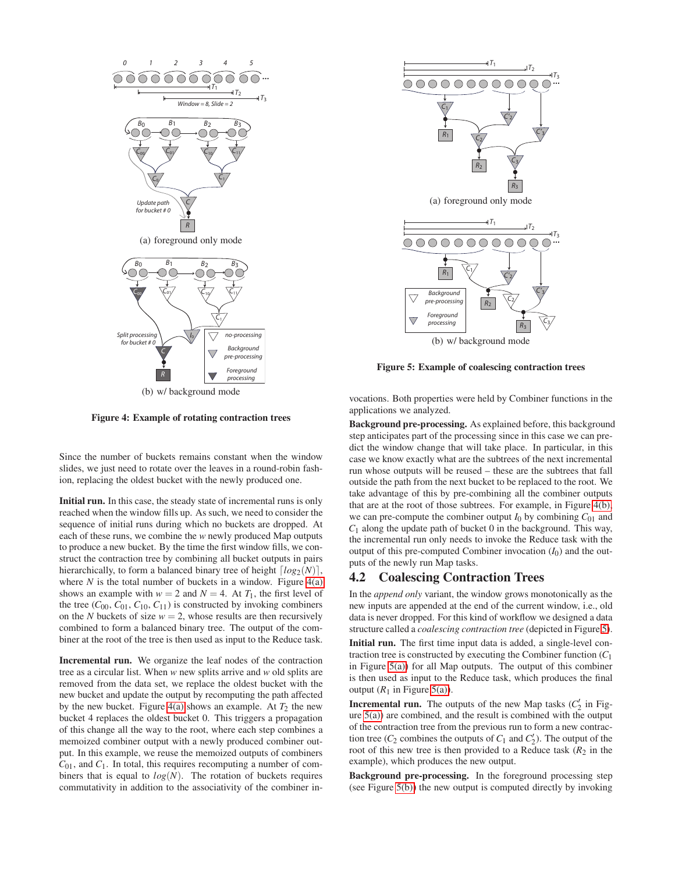<span id="page-4-2"></span>

<span id="page-4-3"></span><span id="page-4-1"></span>**Figure 4: Example of rotating contraction trees**

Since the number of buckets remains constant when the window slides, we just need to rotate over the leaves in a round-robin fashion, replacing the oldest bucket with the newly produced one.

**Initial run.** In this case, the steady state of incremental runs is only reached when the window fills up. As such, we need to consider the sequence of initial runs during which no buckets are dropped. At each of these runs, we combine the *w* newly produced Map outputs to produce a new bucket. By the time the first window fills, we construct the contraction tree by combining all bucket outputs in pairs hierarchically, to form a balanced binary tree of height  $[log_2(N)]$ , where  $N$  is the total number of buckets in a window. Figure  $4(a)$ shows an example with  $w = 2$  and  $N = 4$ . At  $T_1$ , the first level of the tree  $(C_{00}, C_{01}, C_{10}, C_{11})$  is constructed by invoking combiners on the *N* buckets of size  $w = 2$ , whose results are then recursively combined to form a balanced binary tree. The output of the combiner at the root of the tree is then used as input to the Reduce task.

**Incremental run.** We organize the leaf nodes of the contraction tree as a circular list. When *w* new splits arrive and *w* old splits are removed from the data set, we replace the oldest bucket with the new bucket and update the output by recomputing the path affected by the new bucket. Figure  $4(a)$  shows an example. At  $T_2$  the new bucket 4 replaces the oldest bucket 0. This triggers a propagation of this change all the way to the root, where each step combines a memoized combiner output with a newly produced combiner output. In this example, we reuse the memoized outputs of combiners *C*01, and *C*1. In total, this requires recomputing a number of combiners that is equal to  $log(N)$ . The rotation of buckets requires commutativity in addition to the associativity of the combiner in-

<span id="page-4-5"></span>

<span id="page-4-6"></span><span id="page-4-4"></span>**Figure 5: Example of coalescing contraction trees**

vocations. Both properties were held by Combiner functions in the applications we analyzed.

**Background pre-processing.** As explained before, this background step anticipates part of the processing since in this case we can predict the window change that will take place. In particular, in this case we know exactly what are the subtrees of the next incremental run whose outputs will be reused – these are the subtrees that fall outside the path from the next bucket to be replaced to the root. We take advantage of this by pre-combining all the combiner outputs that are at the root of those subtrees. For example, in Figure [4\(b\),](#page-4-3) we can pre-compute the combiner output  $I_0$  by combining  $C_{01}$  and  $C_1$  along the update path of bucket 0 in the background. This way, the incremental run only needs to invoke the Reduce task with the output of this pre-computed Combiner invocation  $(I_0)$  and the outputs of the newly run Map tasks.

#### <span id="page-4-0"></span>**4.2 Coalescing Contraction Trees**

In the *append only* variant, the window grows monotonically as the new inputs are appended at the end of the current window, i.e., old data is never dropped. For this kind of workflow we designed a data structure called a *coalescing contraction tree* (depicted in Figure [5\)](#page-4-4).

**Initial run.** The first time input data is added, a single-level contraction tree is constructed by executing the Combiner function (*C*<sup>1</sup> in Figure  $5(a)$ ) for all Map outputs. The output of this combiner is then used as input to the Reduce task, which produces the final output  $(R_1$  in Figure [5\(a\)\)](#page-4-5).

**Incremental run.** The outputs of the new Map tasks  $(C_2)$  in Figure  $5(a)$ ) are combined, and the result is combined with the output of the contraction tree from the previous run to form a new contraction tree  $(C_2$  combines the outputs of  $C_1$  and  $C_2'$ ). The output of the root of this new tree is then provided to a Reduce task  $(R_2$  in the example), which produces the new output.

**Background pre-processing.** In the foreground processing step (see Figure [5\(b\)\)](#page-4-6) the new output is computed directly by invoking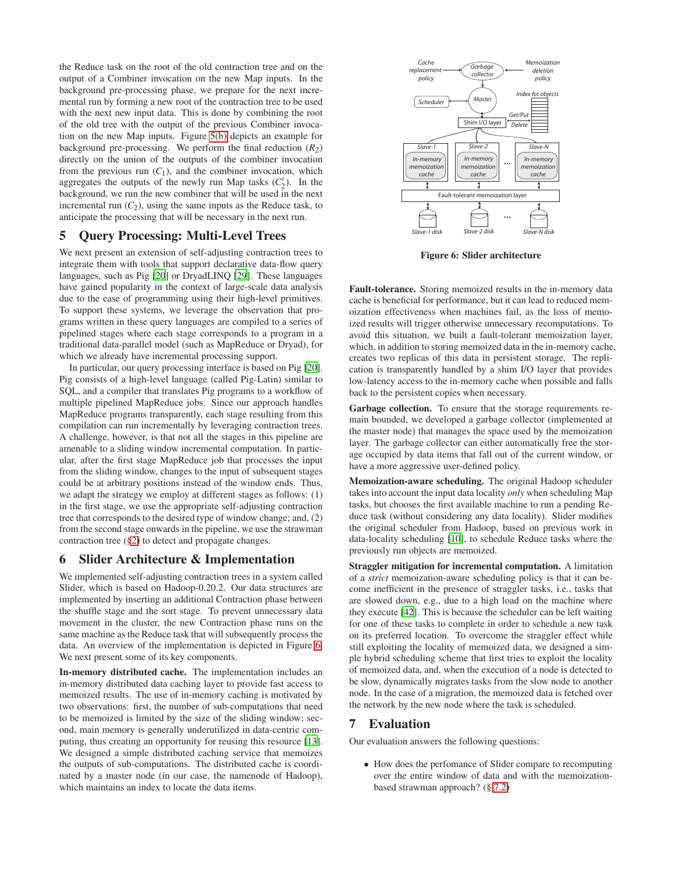the Reduce task on the root of the old contraction tree and on the output of a Combiner invocation on the new Map inputs. In the background pre-processing phase, we prepare for the next incremental run by forming a new root of the contraction tree to be used with the next new input data. This is done by combining the root of the old tree with the output of the previous Combiner invocation on the new Map inputs. Figure [5\(b\)](#page-4-6) depicts an example for background pre-processing. We perform the final reduction  $(R_2)$ directly on the union of the outputs of the combiner invocation from the previous run  $(C_1)$ , and the combiner invocation, which aggregates the outputs of the newly run Map tasks  $(C_2')$ . In the background, we run the new combiner that will be used in the next incremental run  $(C_2)$ , using the same inputs as the Reduce task, to anticipate the processing that will be necessary in the next run.

## <span id="page-5-0"></span>**5 Query Processing: Multi-Level Trees**

We next present an extension of self-adjusting contraction trees to integrate them with tools that support declarative data-flow query languages, such as Pig [\[20](#page-11-18)] or DryadLINQ [\[29](#page-11-19)]. These languages have gained popularity in the context of large-scale data analysis due to the ease of programming using their high-level primitives. To support these systems, we leverage the observation that programs written in these query languages are compiled to a series of pipelined stages where each stage corresponds to a program in a traditional data-parallel model (such as MapReduce or Dryad), for which we already have incremental processing support.

In particular, our query processing interface is based on Pig [\[20\]](#page-11-18). Pig consists of a high-level language (called Pig-Latin) similar to SQL, and a compiler that translates Pig programs to a workflow of multiple pipelined MapReduce jobs. Since our approach handles MapReduce programs transparently, each stage resulting from this compilation can run incrementally by leveraging contraction trees. A challenge, however, is that not all the stages in this pipeline are amenable to a sliding window incremental computation. In particular, after the first stage MapReduce job that processes the input from the sliding window, changes to the input of subsequent stages could be at arbitrary positions instead of the window ends. Thus, we adapt the strategy we employ at different stages as follows: (1) in the first stage, we use the appropriate self-adjusting contraction tree that corresponds to the desired type of window change; and, (2) from the second stage onwards in the pipeline, we use the strawman contraction tree ([§2\)](#page-1-0) to detect and propagate changes.

#### <span id="page-5-1"></span>**6 Slider Architecture & Implementation**

We implemented self-adjusting contraction trees in a system called Slider, which is based on Hadoop-0.20.2. Our data structures are implemented by inserting an additional Contraction phase between the shuffle stage and the sort stage. To prevent unnecessary data movement in the cluster, the new Contraction phase runs on the same machine as the Reduce task that will subsequently process the data. An overview of the implementation is depicted in Figure [6.](#page-5-3) We next present some of its key components.

**In-memory distributed cache.** The implementation includes an in-memory distributed data caching layer to provide fast access to memoized results. The use of in-memory caching is motivated by two observations: first, the number of sub-computations that need to be memoized is limited by the size of the sliding window; second, main memory is generally underutilized in data-centric computing, thus creating an opportunity for reusing this resource [\[13\]](#page-11-22). We designed a simple distributed caching service that memoizes the outputs of sub-computations. The distributed cache is coordinated by a master node (in our case, the namenode of Hadoop), which maintains an index to locate the data items.



<span id="page-5-3"></span>**Figure 6: Slider architecture**

**Fault-tolerance.** Storing memoized results in the in-memory data cache is beneficial for performance, but it can lead to reduced memoization effectiveness when machines fail, as the loss of memoized results will trigger otherwise unnecessary recomputations. To avoid this situation, we built a fault-tolerant memoization layer, which, in addition to storing memoized data in the in-memory cache, creates two replicas of this data in persistent storage. The replication is transparently handled by a shim I/O layer that provides low-latency access to the in-memory cache when possible and falls back to the persistent copies when necessary.

**Garbage collection.** To ensure that the storage requirements remain bounded, we developed a garbage collector (implemented at the master node) that manages the space used by the memoization layer. The garbage collector can either automatically free the storage occupied by data items that fall out of the current window, or have a more aggressive user-defined policy.

**Memoization-aware scheduling.** The original Hadoop scheduler takes into account the input data locality *only* when scheduling Map tasks, but chooses the first available machine to run a pending Reduce task (without considering any data locality). Slider modifies the original scheduler from Hadoop, based on previous work in data-locality scheduling [\[10\]](#page-11-23), to schedule Reduce tasks where the previously run objects are memoized.

**Straggler mitigation for incremental computation.** A limitation of a *strict* memoization-aware scheduling policy is that it can become inefficient in the presence of straggler tasks, i.e., tasks that are slowed down, e.g., due to a high load on the machine where they execute [\[42](#page-11-24)]. This is because the scheduler can be left waiting for one of these tasks to complete in order to schedule a new task on its preferred location. To overcome the straggler effect while still exploiting the locality of memoized data, we designed a simple hybrid scheduling scheme that first tries to exploit the locality of memoized data, and, when the execution of a node is detected to be slow, dynamically migrates tasks from the slow node to another node. In the case of a migration, the memoized data is fetched over the network by the new node where the task is scheduled.

## <span id="page-5-2"></span>**7 Evaluation**

Our evaluation answers the following questions:

• How does the perfomance of Slider compare to recomputing over the entire window of data and with the memoizationbased strawman approach? (§ [7.2\)](#page-6-0)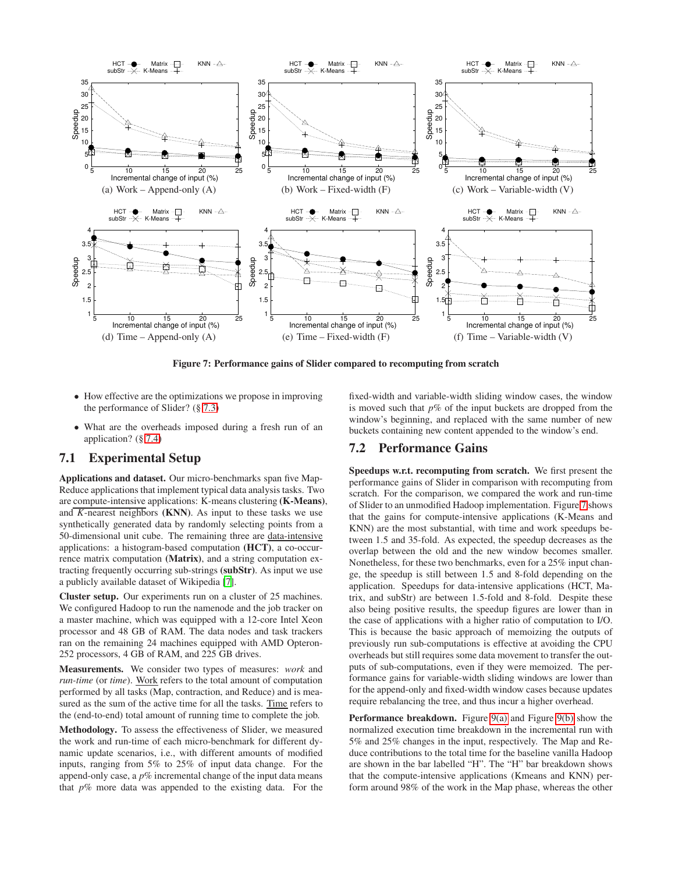

<span id="page-6-1"></span>**Figure 7: Performance gains of Slider compared to recomputing from scratch**

- How effective are the optimizations we propose in improving the performance of Slider? (§ [7.3\)](#page-7-0)
- What are the overheads imposed during a fresh run of an application? (§ [7.4\)](#page-8-0)

## **7.1 Experimental Setup**

**Applications and dataset.** Our micro-benchmarks span five Map-Reduce applications that implement typical data analysis tasks. Two are compute-intensive applications: K-means clustering **(K-Means)**, and  $\overline{K}$ -nearest neighbors **(KNN)**. As input to these tasks we use synthetically generated data by randomly selecting points from a 50-dimensional unit cube. The remaining three are data-intensive applications: a histogram-based computation **(HCT)**, a co-occurrence matrix computation **(Matrix)**, and a string computation extracting frequently occurring sub-strings **(subStr)**. As input we use a publicly available dataset of Wikipedia [\[7](#page-11-25)].

**Cluster setup.** Our experiments run on a cluster of 25 machines. We configured Hadoop to run the namenode and the job tracker on a master machine, which was equipped with a 12-core Intel Xeon processor and 48 GB of RAM. The data nodes and task trackers ran on the remaining 24 machines equipped with AMD Opteron-252 processors, 4 GB of RAM, and 225 GB drives.

**Measurements.** We consider two types of measures: *work* and *run-time* (or *time*). Work refers to the total amount of computation performed by all tasks (Map, contraction, and Reduce) and is measured as the sum of the active time for all the tasks. Time refers to the (end-to-end) total amount of running time to complete the job.

**Methodology.** To assess the effectiveness of Slider, we measured the work and run-time of each micro-benchmark for different dynamic update scenarios, i.e., with different amounts of modified inputs, ranging from 5% to 25% of input data change. For the append-only case, a *p*% incremental change of the input data means that *p*% more data was appended to the existing data. For the fixed-width and variable-width sliding window cases, the window is moved such that *p*% of the input buckets are dropped from the window's beginning, and replaced with the same number of new buckets containing new content appended to the window's end.

## <span id="page-6-0"></span>**7.2 Performance Gains**

**Speedups w.r.t. recomputing from scratch.** We first present the performance gains of Slider in comparison with recomputing from scratch. For the comparison, we compared the work and run-time of Slider to an unmodified Hadoop implementation. Figure [7](#page-6-1) shows that the gains for compute-intensive applications (K-Means and KNN) are the most substantial, with time and work speedups between 1.5 and 35-fold. As expected, the speedup decreases as the overlap between the old and the new window becomes smaller. Nonetheless, for these two benchmarks, even for a 25% input change, the speedup is still between 1.5 and 8-fold depending on the application. Speedups for data-intensive applications (HCT, Matrix, and subStr) are between 1.5-fold and 8-fold. Despite these also being positive results, the speedup figures are lower than in the case of applications with a higher ratio of computation to I/O. This is because the basic approach of memoizing the outputs of previously run sub-computations is effective at avoiding the CPU overheads but still requires some data movement to transfer the outputs of sub-computations, even if they were memoized. The performance gains for variable-width sliding windows are lower than for the append-only and fixed-width window cases because updates require rebalancing the tree, and thus incur a higher overhead.

**Performance breakdown.** Figure [9\(a\)](#page-8-1) and Figure [9\(b\)](#page-8-2) show the normalized execution time breakdown in the incremental run with 5% and 25% changes in the input, respectively. The Map and Reduce contributions to the total time for the baseline vanilla Hadoop are shown in the bar labelled "H". The "H" bar breakdown shows that the compute-intensive applications (Kmeans and KNN) perform around 98% of the work in the Map phase, whereas the other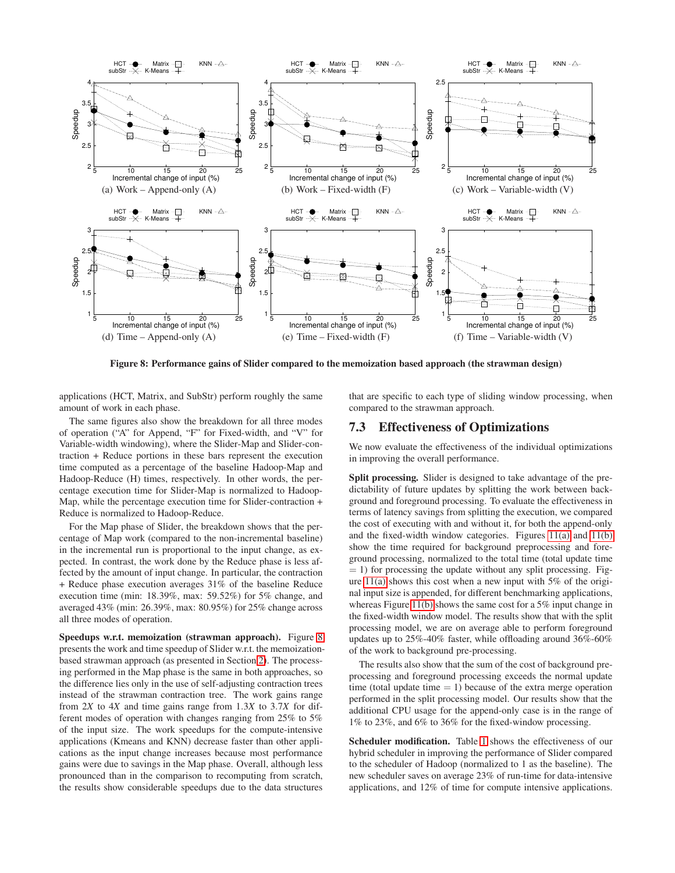

<span id="page-7-1"></span>**Figure 8: Performance gains of Slider compared to the memoization based approach (the strawman design)**

applications (HCT, Matrix, and SubStr) perform roughly the same amount of work in each phase.

The same figures also show the breakdown for all three modes of operation ("A" for Append, "F" for Fixed-width, and "V" for Variable-width windowing), where the Slider-Map and Slider-contraction + Reduce portions in these bars represent the execution time computed as a percentage of the baseline Hadoop-Map and Hadoop-Reduce (H) times, respectively. In other words, the percentage execution time for Slider-Map is normalized to Hadoop-Map, while the percentage execution time for Slider-contraction + Reduce is normalized to Hadoop-Reduce.

For the Map phase of Slider, the breakdown shows that the percentage of Map work (compared to the non-incremental baseline) in the incremental run is proportional to the input change, as expected. In contrast, the work done by the Reduce phase is less affected by the amount of input change. In particular, the contraction + Reduce phase execution averages 31% of the baseline Reduce execution time (min: 18.39%, max: 59.52%) for 5% change, and averaged 43% (min: 26.39%, max: 80.95%) for 25% change across all three modes of operation.

**Speedups w.r.t. memoization (strawman approach).** Figure [8](#page-7-1) presents the work and time speedup of Slider w.r.t. the memoizationbased strawman approach (as presented in Section [2\)](#page-1-0). The processing performed in the Map phase is the same in both approaches, so the difference lies only in the use of self-adjusting contraction trees instead of the strawman contraction tree. The work gains range from 2*X* to 4*X* and time gains range from 1.3*X* to 3.7*X* for different modes of operation with changes ranging from 25% to 5% of the input size. The work speedups for the compute-intensive applications (Kmeans and KNN) decrease faster than other applications as the input change increases because most performance gains were due to savings in the Map phase. Overall, although less pronounced than in the comparison to recomputing from scratch, the results show considerable speedups due to the data structures <span id="page-7-0"></span>that are specific to each type of sliding window processing, when compared to the strawman approach.

## **7.3 Effectiveness of Optimizations**

We now evaluate the effectiveness of the individual optimizations in improving the overall performance.

**Split processing.** Slider is designed to take advantage of the predictability of future updates by splitting the work between background and foreground processing. To evaluate the effectiveness in terms of latency savings from splitting the execution, we compared the cost of executing with and without it, for both the append-only and the fixed-width window categories. Figures [11\(a\)](#page-8-3) and [11\(b\)](#page-8-4) show the time required for background preprocessing and foreground processing, normalized to the total time (total update time  $=$  1) for processing the update without any split processing. Figure [11\(a\)](#page-8-3) shows this cost when a new input with 5% of the original input size is appended, for different benchmarking applications, whereas Figure [11\(b\)](#page-8-4) shows the same cost for a 5% input change in the fixed-width window model. The results show that with the split processing model, we are on average able to perform foreground updates up to 25%-40% faster, while offloading around 36%-60% of the work to background pre-processing.

The results also show that the sum of the cost of background preprocessing and foreground processing exceeds the normal update time (total update time  $= 1$ ) because of the extra merge operation performed in the split processing model. Our results show that the additional CPU usage for the append-only case is in the range of 1% to 23%, and 6% to 36% for the fixed-window processing.

**Scheduler modification.** Table [1](#page-8-5) shows the effectiveness of our hybrid scheduler in improving the performance of Slider compared to the scheduler of Hadoop (normalized to 1 as the baseline). The new scheduler saves on average 23% of run-time for data-intensive applications, and 12% of time for compute intensive applications.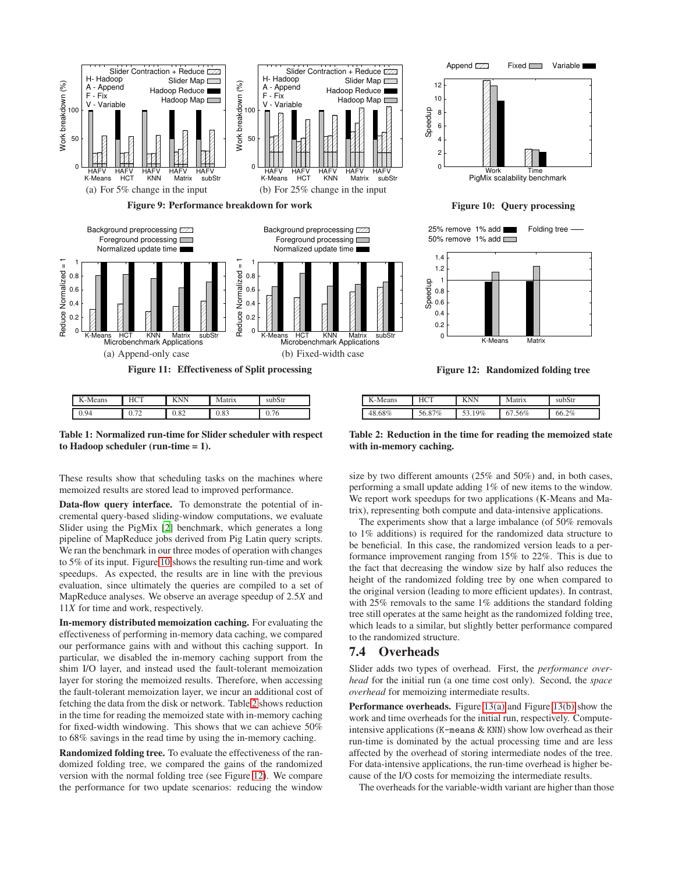<span id="page-8-3"></span><span id="page-8-1"></span>

| $\mathbf{V}$<br>-Means | <b>TICT</b><br>1 I V 1           | KNN          | triv         | subStr |
|------------------------|----------------------------------|--------------|--------------|--------|
| 0.94                   | $\overline{\phantom{a}}$<br>v. 1 | ∩ 0^<br>v.oz | ∩ ∘ി<br>U.OJ | 0.76   |

<span id="page-8-5"></span>**Table 1: Normalized run-time for Slider scheduler with respect to Hadoop scheduler (run-time = 1).**

These results show that scheduling tasks on the machines where memoized results are stored lead to improved performance.

**Data-flow query interface.** To demonstrate the potential of incremental query-based sliding-window computations, we evaluate Slider using the PigMix [\[2](#page-11-26)] benchmark, which generates a long pipeline of MapReduce jobs derived from Pig Latin query scripts. We ran the benchmark in our three modes of operation with changes to 5% of its input. Figure [10](#page-8-6) shows the resulting run-time and work speedups. As expected, the results are in line with the previous evaluation, since ultimately the queries are compiled to a set of MapReduce analyses. We observe an average speedup of 2.5*X* and 11*X* for time and work, respectively.

**In-memory distributed memoization caching.** For evaluating the effectiveness of performing in-memory data caching, we compared our performance gains with and without this caching support. In particular, we disabled the in-memory caching support from the shim I/O layer, and instead used the fault-tolerant memoization layer for storing the memoized results. Therefore, when accessing the fault-tolerant memoization layer, we incur an additional cost of fetching the data from the disk or network. Table [2](#page-8-7) shows reduction in the time for reading the memoized state with in-memory caching for fixed-width windowing. This shows that we can achieve 50% to 68% savings in the read time by using the in-memory caching.

**Randomized folding tree.** To evaluate the effectiveness of the randomized folding tree, we compared the gains of the randomized version with the normal folding tree (see Figure [12\)](#page-8-8). We compare the performance for two update scenarios: reducing the window



<span id="page-8-6"></span>**Figure 10: Query processing**

<span id="page-8-2"></span>

<span id="page-8-8"></span>**Figure 12: Randomized folding tree**

<span id="page-8-4"></span>

| T.Z<br>K-Means | $\sim$                  | NN<br>┄ | utrix      | subStr |
|----------------|-------------------------|---------|------------|--------|
| 58%            | $\sigma_{\rm o}$<br>v.v | .       | 7.56%<br>ັ | 66.2%  |

<span id="page-8-7"></span>**Table 2: Reduction in the time for reading the memoized state with in-memory caching.**

size by two different amounts (25% and 50%) and, in both cases, performing a small update adding 1% of new items to the window. We report work speedups for two applications (K-Means and Matrix), representing both compute and data-intensive applications.

The experiments show that a large imbalance (of 50% removals to 1% additions) is required for the randomized data structure to be beneficial. In this case, the randomized version leads to a performance improvement ranging from 15% to 22%. This is due to the fact that decreasing the window size by half also reduces the height of the randomized folding tree by one when compared to the original version (leading to more efficient updates). In contrast, with 25% removals to the same 1% additions the standard folding tree still operates at the same height as the randomized folding tree, which leads to a similar, but slightly better performance compared to the randomized structure.

#### <span id="page-8-0"></span>**7.4 Overheads**

Slider adds two types of overhead. First, the *performance overhead* for the initial run (a one time cost only). Second, the *space overhead* for memoizing intermediate results.

**Performance overheads.** Figure [13\(a\)](#page-9-1) and Figure [13\(b\)](#page-9-2) show the work and time overheads for the initial run, respectively. Computeintensive applications ( $K$ -means  $\&$  KNN) show low overhead as their run-time is dominated by the actual processing time and are less affected by the overhead of storing intermediate nodes of the tree. For data-intensive applications, the run-time overhead is higher because of the I/O costs for memoizing the intermediate results.

The overheads for the variable-width variant are higher than those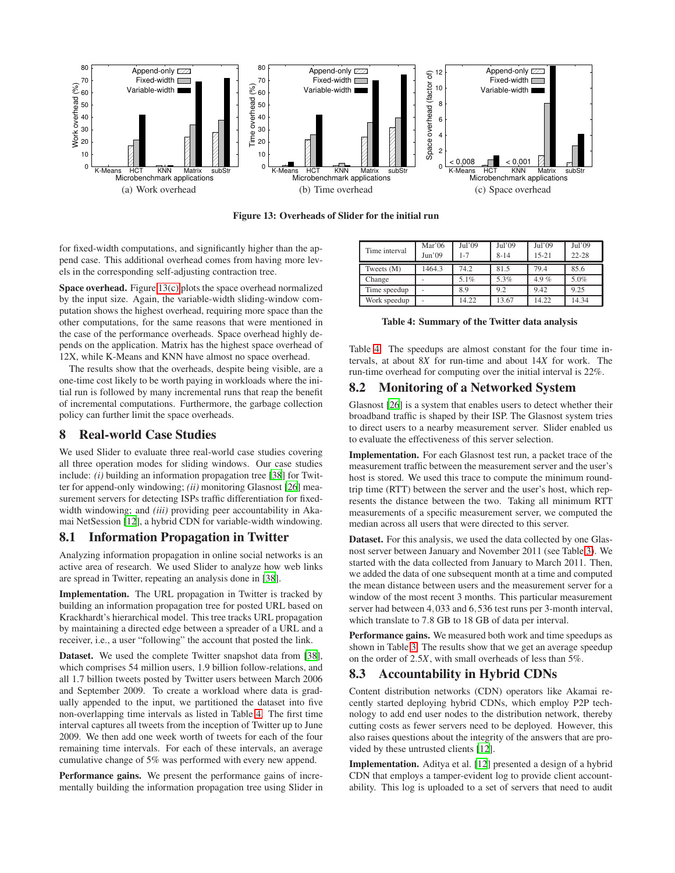<span id="page-9-1"></span>

<span id="page-9-2"></span>**Figure 13: Overheads of Slider for the initial run**

for fixed-width computations, and significantly higher than the append case. This additional overhead comes from having more levels in the corresponding self-adjusting contraction tree.

**Space overhead.** Figure [13\(c\)](#page-9-3) plots the space overhead normalized by the input size. Again, the variable-width sliding-window computation shows the highest overhead, requiring more space than the other computations, for the same reasons that were mentioned in the case of the performance overheads. Space overhead highly depends on the application. Matrix has the highest space overhead of 12X, while K-Means and KNN have almost no space overhead.

The results show that the overheads, despite being visible, are a one-time cost likely to be worth paying in workloads where the initial run is followed by many incremental runs that reap the benefit of incremental computations. Furthermore, the garbage collection policy can further limit the space overheads.

## <span id="page-9-0"></span>**8 Real-world Case Studies**

We used Slider to evaluate three real-world case studies covering all three operation modes for sliding windows. Our case studies include: *(i)* building an information propagation tree [\[38\]](#page-11-13) for Twitter for append-only windowing; *(ii)* monitoring Glasnost [\[26\]](#page-11-14) measurement servers for detecting ISPs traffic differentiation for fixedwidth windowing; and *(iii)* providing peer accountability in Akamai NetSession [\[12\]](#page-11-15), a hybrid CDN for variable-width windowing.

## **8.1 Information Propagation in Twitter**

Analyzing information propagation in online social networks is an active area of research. We used Slider to analyze how web links are spread in Twitter, repeating an analysis done in [\[38\]](#page-11-13).

**Implementation.** The URL propagation in Twitter is tracked by building an information propagation tree for posted URL based on Krackhardt's hierarchical model. This tree tracks URL propagation by maintaining a directed edge between a spreader of a URL and a receiver, i.e., a user "following" the account that posted the link.

**Dataset.** We used the complete Twitter snapshot data from [\[38\]](#page-11-13), which comprises 54 million users, 1.9 billion follow-relations, and all 1.7 billion tweets posted by Twitter users between March 2006 and September 2009. To create a workload where data is gradually appended to the input, we partitioned the dataset into five non-overlapping time intervals as listed in Table [4.](#page-9-4) The first time interval captures all tweets from the inception of Twitter up to June 2009. We then add one week worth of tweets for each of the four remaining time intervals. For each of these intervals, an average cumulative change of 5% was performed with every new append.

**Performance gains.** We present the performance gains of incrementally building the information propagation tree using Slider in

<span id="page-9-3"></span>

| Time interval | Mar'06<br>Jun'09 | Jul'09<br>$1 - 7$ | Jul'09<br>$8 - 14$ | Jul'09<br>$15 - 21$ | Jul'09<br>$22 - 28$ |
|---------------|------------------|-------------------|--------------------|---------------------|---------------------|
| Tweets $(M)$  | 1464.3           | 74.2              | 81.5               | 79.4                | 85.6                |
| Change        |                  | 5.1%              | 5.3%               | 4.9 $%$             | 5.0%                |
| Time speedup  |                  | 8.9               | 9.2                | 9.42                | 9.25                |
| Work speedup  |                  | 14.22             | 13.67              | 14.22               | 14.34               |

<span id="page-9-4"></span>**Table 4: Summary of the Twitter data analysis**

Table [4.](#page-9-4) The speedups are almost constant for the four time intervals, at about 8*X* for run-time and about 14*X* for work. The run-time overhead for computing over the initial interval is 22%.

## **8.2 Monitoring of a Networked System**

Glasnost [\[26](#page-11-14)] is a system that enables users to detect whether their broadband traffic is shaped by their ISP. The Glasnost system tries to direct users to a nearby measurement server. Slider enabled us to evaluate the effectiveness of this server selection.

**Implementation.** For each Glasnost test run, a packet trace of the measurement traffic between the measurement server and the user's host is stored. We used this trace to compute the minimum roundtrip time (RTT) between the server and the user's host, which represents the distance between the two. Taking all minimum RTT measurements of a specific measurement server, we computed the median across all users that were directed to this server.

**Dataset.** For this analysis, we used the data collected by one Glasnost server between January and November 2011 (see Table [3\)](#page-10-1). We started with the data collected from January to March 2011. Then, we added the data of one subsequent month at a time and computed the mean distance between users and the measurement server for a window of the most recent 3 months. This particular measurement server had between 4,033 and 6,536 test runs per 3-month interval, which translate to 7.8 GB to 18 GB of data per interval.

**Performance gains.** We measured both work and time speedups as shown in Table [3.](#page-10-1) The results show that we get an average speedup on the order of 2.5*X*, with small overheads of less than 5%.

# **8.3 Accountability in Hybrid CDNs**

Content distribution networks (CDN) operators like Akamai recently started deploying hybrid CDNs, which employ P2P technology to add end user nodes to the distribution network, thereby cutting costs as fewer servers need to be deployed. However, this also raises questions about the integrity of the answers that are provided by these untrusted clients [\[12](#page-11-15)].

**Implementation.** Aditya et al. [\[12](#page-11-15)] presented a design of a hybrid CDN that employs a tamper-evident log to provide client accountability. This log is uploaded to a set of servers that need to audit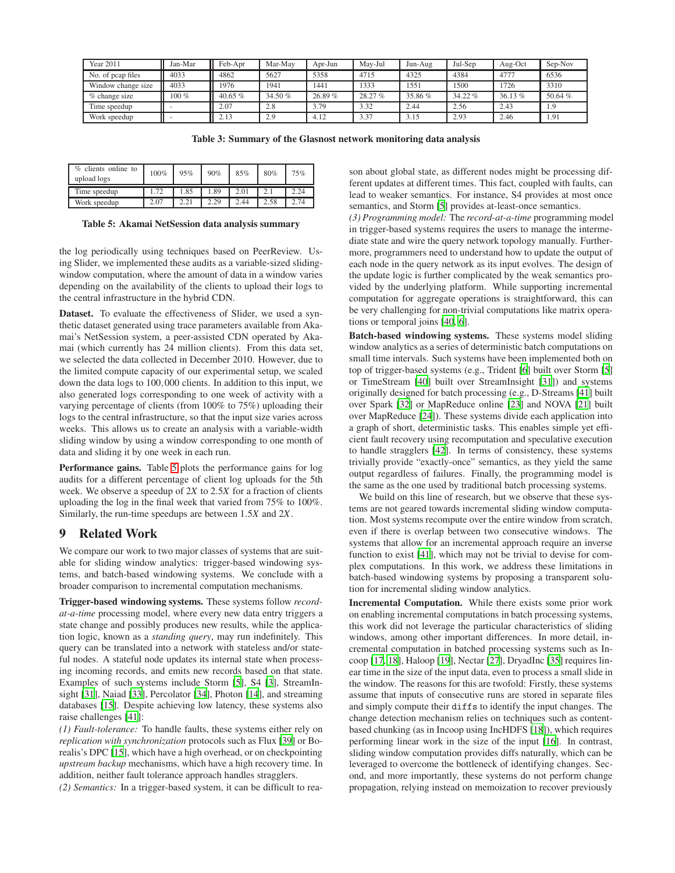| Year 2011          | Jan-Mar | Feb-Apr   | Mar-May | Apr-Jun | Mav-Jul | Jun-Aug | Jul-Sep | Aug-Oct   | Sep-Nov |
|--------------------|---------|-----------|---------|---------|---------|---------|---------|-----------|---------|
| No. of peap files  | 4033    | 4862      | 5627    | 5358    | 4715    | 4325    | 4384    | 4777      | 6536    |
| Window change size | 4033    | 1976      | 1941    | 1441    | 1333    | 1551    | 1500    | 1726      | 3310    |
| $%$ change size    | $100\%$ | 40.65 $%$ | 34.50 % | 26.89%  | 28.27%  | 35.86%  | 34.22 % | 36.13 $%$ | 50.64%  |
| Time speedup       |         | 2.07      | 2.8     | 3.79    | 3.32    | 2.44    | 2.56    | 2.43      | 1.9     |
| Work speedup       |         | 2.13      | 2.9     | 4.12    | 3.37    | 3.15    | 2.93    | 2.46      | 1.91    |

<span id="page-10-1"></span>**Table 3: Summary of the Glasnost network monitoring data analysis**

| % clients online to<br>upload logs | 100% | 95%  | 90%  | 85%  | 80%  | 75%  |
|------------------------------------|------|------|------|------|------|------|
| Time speedup                       | 1.72 | 1.85 | 1.89 | 2.01 |      | 2.24 |
| Work speedup                       | 2.07 | 2.21 | 2.29 | 2.44 | 2.58 | 2.74 |

<span id="page-10-2"></span>**Table 5: Akamai NetSession data analysis summary**

the log periodically using techniques based on PeerReview. Using Slider, we implemented these audits as a variable-sized slidingwindow computation, where the amount of data in a window varies depending on the availability of the clients to upload their logs to the central infrastructure in the hybrid CDN.

**Dataset.** To evaluate the effectiveness of Slider, we used a synthetic dataset generated using trace parameters available from Akamai's NetSession system, a peer-assisted CDN operated by Akamai (which currently has 24 million clients). From this data set, we selected the data collected in December 2010. However, due to the limited compute capacity of our experimental setup, we scaled down the data logs to 100,000 clients. In addition to this input, we also generated logs corresponding to one week of activity with a varying percentage of clients (from 100% to 75%) uploading their logs to the central infrastructure, so that the input size varies across weeks. This allows us to create an analysis with a variable-width sliding window by using a window corresponding to one month of data and sliding it by one week in each run.

**Performance gains.** Table [5](#page-10-2) plots the performance gains for log audits for a different percentage of client log uploads for the 5th week. We observe a speedup of 2*X* to 2.5*X* for a fraction of clients uploading the log in the final week that varied from 75% to 100%. Similarly, the run-time speedups are between 1.5*X* and 2*X*.

#### <span id="page-10-0"></span>**9 Related Work**

We compare our work to two major classes of systems that are suitable for sliding window analytics: trigger-based windowing systems, and batch-based windowing systems. We conclude with a broader comparison to incremental computation mechanisms.

**Trigger-based windowing systems.** These systems follow *recordat-a-time* processing model, where every new data entry triggers a state change and possibly produces new results, while the application logic, known as a *standing query*, may run indefinitely. This query can be translated into a network with stateless and/or stateful nodes. A stateful node updates its internal state when processing incoming records, and emits new records based on that state. Examples of such systems include Storm [\[5](#page-11-27)], S4 [\[3\]](#page-11-28), StreamInsight [\[31](#page-11-29)], Naiad [\[33\]](#page-11-30), Percolator [\[34](#page-11-2)], Photon [\[14\]](#page-11-31), and streaming databases [\[15\]](#page-11-32). Despite achieving low latency, these systems also raise challenges [\[41](#page-11-33)]:

*(1) Fault-tolerance:* To handle faults, these systems either rely on *replication with synchronization* protocols such as Flux [\[39\]](#page-11-34) or Borealis's DPC [\[15](#page-11-32)], which have a high overhead, or on checkpointing *upstream backup* mechanisms, which have a high recovery time. In addition, neither fault tolerance approach handles stragglers.

*(2) Semantics:* In a trigger-based system, it can be difficult to rea-

son about global state, as different nodes might be processing different updates at different times. This fact, coupled with faults, can lead to weaker semantics. For instance, S4 provides at most once semantics, and Storm [\[5](#page-11-27)] provides at-least-once semantics.

*(3) Programming model:* The *record-at-a-time* programming model in trigger-based systems requires the users to manage the intermediate state and wire the query network topology manually. Furthermore, programmers need to understand how to update the output of each node in the query network as its input evolves. The design of the update logic is further complicated by the weak semantics provided by the underlying platform. While supporting incremental computation for aggregate operations is straightforward, this can be very challenging for non-trivial computations like matrix operations or temporal joins [\[40,](#page-11-35) [6\]](#page-11-36).

**Batch-based windowing systems.** These systems model sliding window analytics as a series of deterministic batch computations on small time intervals. Such systems have been implemented both on top of trigger-based systems (e.g., Trident [\[6](#page-11-36)] built over Storm [\[5\]](#page-11-27) or TimeStream [\[40](#page-11-35)] built over StreamInsight [\[31\]](#page-11-29)) and systems originally designed for batch processing (e.g., D-Streams [\[41\]](#page-11-33) built over Spark [\[32\]](#page-11-20) or MapReduce online [\[23](#page-11-37)] and NOVA [\[21\]](#page-11-38) built over MapReduce [\[24](#page-11-17)]). These systems divide each application into a graph of short, deterministic tasks. This enables simple yet efficient fault recovery using recomputation and speculative execution to handle stragglers [\[42](#page-11-24)]. In terms of consistency, these systems trivially provide "exactly-once" semantics, as they yield the same output regardless of failures. Finally, the programming model is the same as the one used by traditional batch processing systems.

We build on this line of research, but we observe that these systems are not geared towards incremental sliding window computation. Most systems recompute over the entire window from scratch, even if there is overlap between two consecutive windows. The systems that allow for an incremental approach require an inverse function to exist [\[41](#page-11-33)], which may not be trivial to devise for complex computations. In this work, we address these limitations in batch-based windowing systems by proposing a transparent solution for incremental sliding window analytics.

**Incremental Computation.** While there exists some prior work on enabling incremental computations in batch processing systems, this work did not leverage the particular characteristics of sliding windows, among other important differences. In more detail, incremental computation in batched processing systems such as Incoop [\[17,](#page-11-39) [18](#page-11-7)], Haloop [\[19](#page-11-8)], Nectar [\[27](#page-11-9)], DryadInc [\[35\]](#page-11-40) requires linear time in the size of the input data, even to process a small slide in the window. The reasons for this are twofold: Firstly, these systems assume that inputs of consecutive runs are stored in separate files and simply compute their diffs to identify the input changes. The change detection mechanism relies on techniques such as contentbased chunking (as in Incoop using IncHDFS [\[18\]](#page-11-7)), which requires performing linear work in the size of the input [\[16](#page-11-41)]. In contrast, sliding window computation provides diffs naturally, which can be leveraged to overcome the bottleneck of identifying changes. Second, and more importantly, these systems do not perform change propagation, relying instead on memoization to recover previously